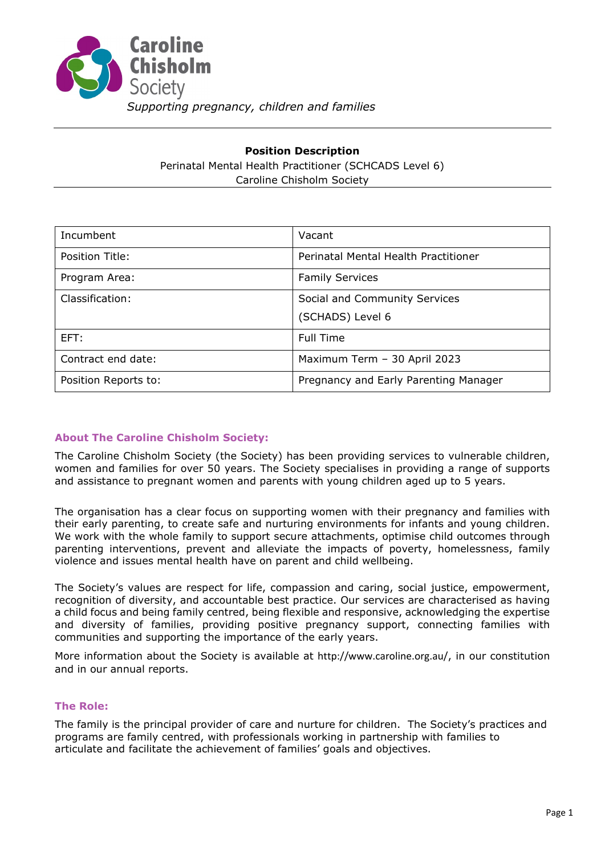

# **Position Description** Perinatal Mental Health Practitioner (SCHCADS Level 6) Caroline Chisholm Society

| Incumbent            | Vacant                                |
|----------------------|---------------------------------------|
| Position Title:      | Perinatal Mental Health Practitioner  |
| Program Area:        | <b>Family Services</b>                |
| Classification:      | Social and Community Services         |
|                      | (SCHADS) Level 6                      |
| EFT:                 | <b>Full Time</b>                      |
| Contract end date:   | Maximum Term - 30 April 2023          |
| Position Reports to: | Pregnancy and Early Parenting Manager |

## **About The Caroline Chisholm Society:**

The Caroline Chisholm Society (the Society) has been providing services to vulnerable children, women and families for over 50 years. The Society specialises in providing a range of supports and assistance to pregnant women and parents with young children aged up to 5 years.

The organisation has a clear focus on supporting women with their pregnancy and families with their early parenting, to create safe and nurturing environments for infants and young children. We work with the whole family to support secure attachments, optimise child outcomes through parenting interventions, prevent and alleviate the impacts of poverty, homelessness, family violence and issues mental health have on parent and child wellbeing.

The Society's values are respect for life, compassion and caring, social justice, empowerment, recognition of diversity, and accountable best practice. Our services are characterised as having a child focus and being family centred, being flexible and responsive, acknowledging the expertise and diversity of families, providing positive pregnancy support, connecting families with communities and supporting the importance of the early years.

More information about the Society is available at <http://www.caroline.org.au/>, in our constitution and in our annual reports.

### **The Role:**

The family is the principal provider of care and nurture for children. The Society's practices and programs are family centred, with professionals working in partnership with families to articulate and facilitate the achievement of families' goals and objectives.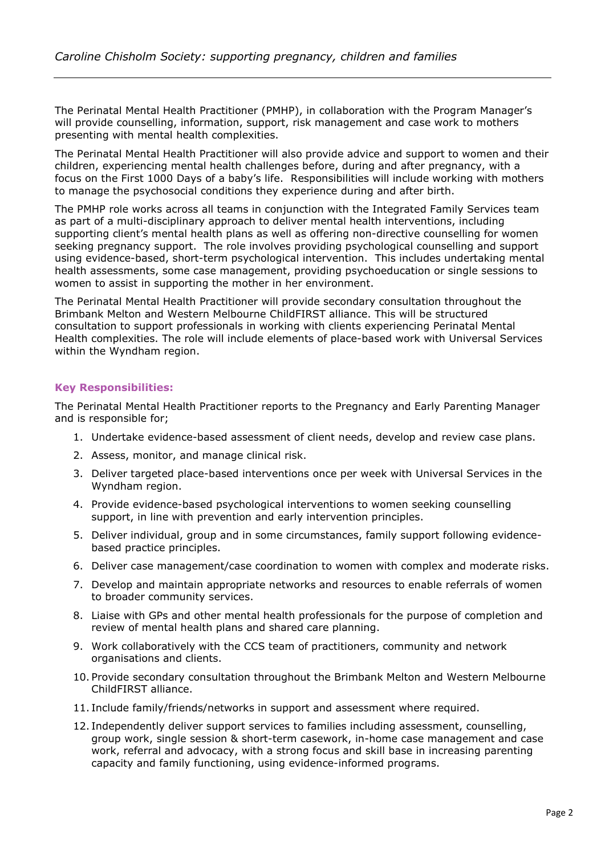The Perinatal Mental Health Practitioner (PMHP), in collaboration with the Program Manager's will provide counselling, information, support, risk management and case work to mothers presenting with mental health complexities.

The Perinatal Mental Health Practitioner will also provide advice and support to women and their children, experiencing mental health challenges before, during and after pregnancy, with a focus on the First 1000 Days of a baby's life. Responsibilities will include working with mothers to manage the psychosocial conditions they experience during and after birth.

The PMHP role works across all teams in conjunction with the Integrated Family Services team as part of a multi-disciplinary approach to deliver mental health interventions, including supporting client's mental health plans as well as offering non-directive counselling for women seeking pregnancy support. The role involves providing psychological counselling and support using evidence-based, short-term psychological intervention. This includes undertaking mental health assessments, some case management, providing psychoeducation or single sessions to women to assist in supporting the mother in her environment.

The Perinatal Mental Health Practitioner will provide secondary consultation throughout the Brimbank Melton and Western Melbourne ChildFIRST alliance. This will be structured consultation to support professionals in working with clients experiencing Perinatal Mental Health complexities. The role will include elements of place-based work with Universal Services within the Wyndham region.

#### **Key Responsibilities:**

The Perinatal Mental Health Practitioner reports to the Pregnancy and Early Parenting Manager and is responsible for;

- 1. Undertake evidence-based assessment of client needs, develop and review case plans.
- 2. Assess, monitor, and manage clinical risk.
- 3. Deliver targeted place-based interventions once per week with Universal Services in the Wyndham region.
- 4. Provide evidence-based psychological interventions to women seeking counselling support, in line with prevention and early intervention principles.
- 5. Deliver individual, group and in some circumstances, family support following evidencebased practice principles.
- 6. Deliver case management/case coordination to women with complex and moderate risks.
- 7. Develop and maintain appropriate networks and resources to enable referrals of women to broader community services.
- 8. Liaise with GPs and other mental health professionals for the purpose of completion and review of mental health plans and shared care planning.
- 9. Work collaboratively with the CCS team of practitioners, community and network organisations and clients.
- 10. Provide secondary consultation throughout the Brimbank Melton and Western Melbourne ChildFIRST alliance.
- 11. Include family/friends/networks in support and assessment where required.
- 12. Independently deliver support services to families including assessment, counselling, group work, single session & short-term casework, in-home case management and case work, referral and advocacy, with a strong focus and skill base in increasing parenting capacity and family functioning, using evidence-informed programs.